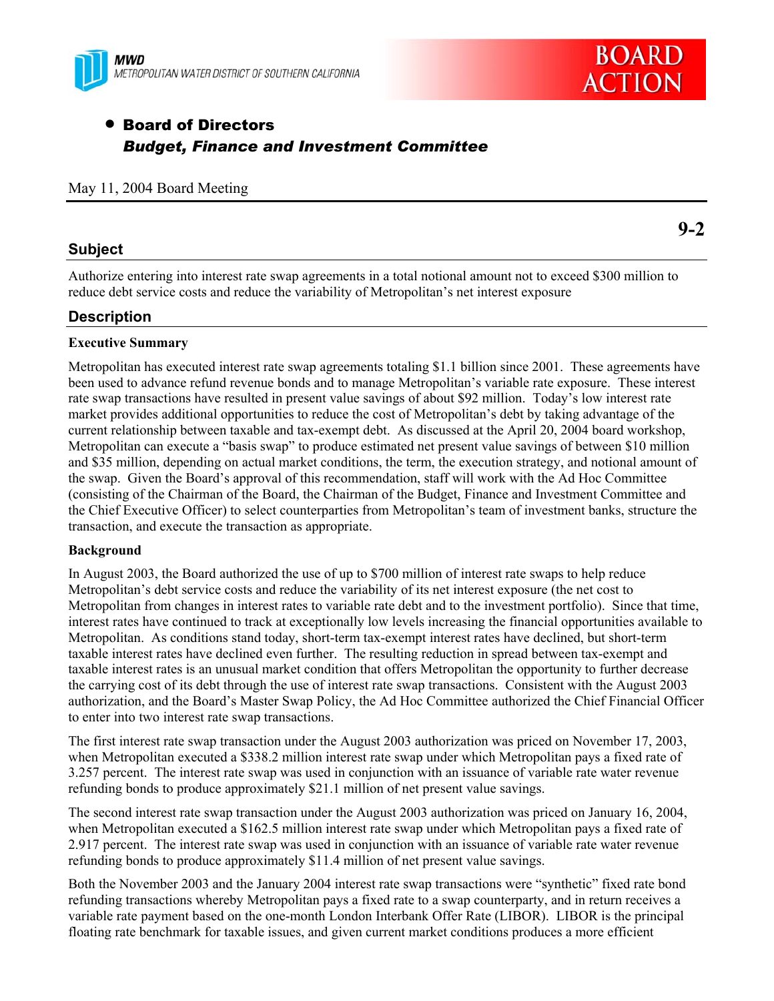



# • Board of Directors *Budget, Finance and Investment Committee*

### May 11, 2004 Board Meeting

# **Subject**

Authorize entering into interest rate swap agreements in a total notional amount not to exceed \$300 million to reduce debt service costs and reduce the variability of Metropolitan's net interest exposure

# **Description**

### **Executive Summary**

Metropolitan has executed interest rate swap agreements totaling \$1.1 billion since 2001. These agreements have been used to advance refund revenue bonds and to manage Metropolitan's variable rate exposure. These interest rate swap transactions have resulted in present value savings of about \$92 million. Today's low interest rate market provides additional opportunities to reduce the cost of Metropolitan's debt by taking advantage of the current relationship between taxable and tax-exempt debt. As discussed at the April 20, 2004 board workshop, Metropolitan can execute a "basis swap" to produce estimated net present value savings of between \$10 million and \$35 million, depending on actual market conditions, the term, the execution strategy, and notional amount of the swap. Given the Board's approval of this recommendation, staff will work with the Ad Hoc Committee (consisting of the Chairman of the Board, the Chairman of the Budget, Finance and Investment Committee and the Chief Executive Officer) to select counterparties from Metropolitan's team of investment banks, structure the transaction, and execute the transaction as appropriate.

### **Background**

In August 2003, the Board authorized the use of up to \$700 million of interest rate swaps to help reduce Metropolitan's debt service costs and reduce the variability of its net interest exposure (the net cost to Metropolitan from changes in interest rates to variable rate debt and to the investment portfolio). Since that time, interest rates have continued to track at exceptionally low levels increasing the financial opportunities available to Metropolitan. As conditions stand today, short-term tax-exempt interest rates have declined, but short-term taxable interest rates have declined even further. The resulting reduction in spread between tax-exempt and taxable interest rates is an unusual market condition that offers Metropolitan the opportunity to further decrease the carrying cost of its debt through the use of interest rate swap transactions. Consistent with the August 2003 authorization, and the Board's Master Swap Policy, the Ad Hoc Committee authorized the Chief Financial Officer to enter into two interest rate swap transactions.

The first interest rate swap transaction under the August 2003 authorization was priced on November 17, 2003, when Metropolitan executed a \$338.2 million interest rate swap under which Metropolitan pays a fixed rate of 3.257 percent. The interest rate swap was used in conjunction with an issuance of variable rate water revenue refunding bonds to produce approximately \$21.1 million of net present value savings.

The second interest rate swap transaction under the August 2003 authorization was priced on January 16, 2004, when Metropolitan executed a \$162.5 million interest rate swap under which Metropolitan pays a fixed rate of 2.917 percent. The interest rate swap was used in conjunction with an issuance of variable rate water revenue refunding bonds to produce approximately \$11.4 million of net present value savings.

Both the November 2003 and the January 2004 interest rate swap transactions were "synthetic" fixed rate bond refunding transactions whereby Metropolitan pays a fixed rate to a swap counterparty, and in return receives a variable rate payment based on the one-month London Interbank Offer Rate (LIBOR). LIBOR is the principal floating rate benchmark for taxable issues, and given current market conditions produces a more efficient

# **9-2**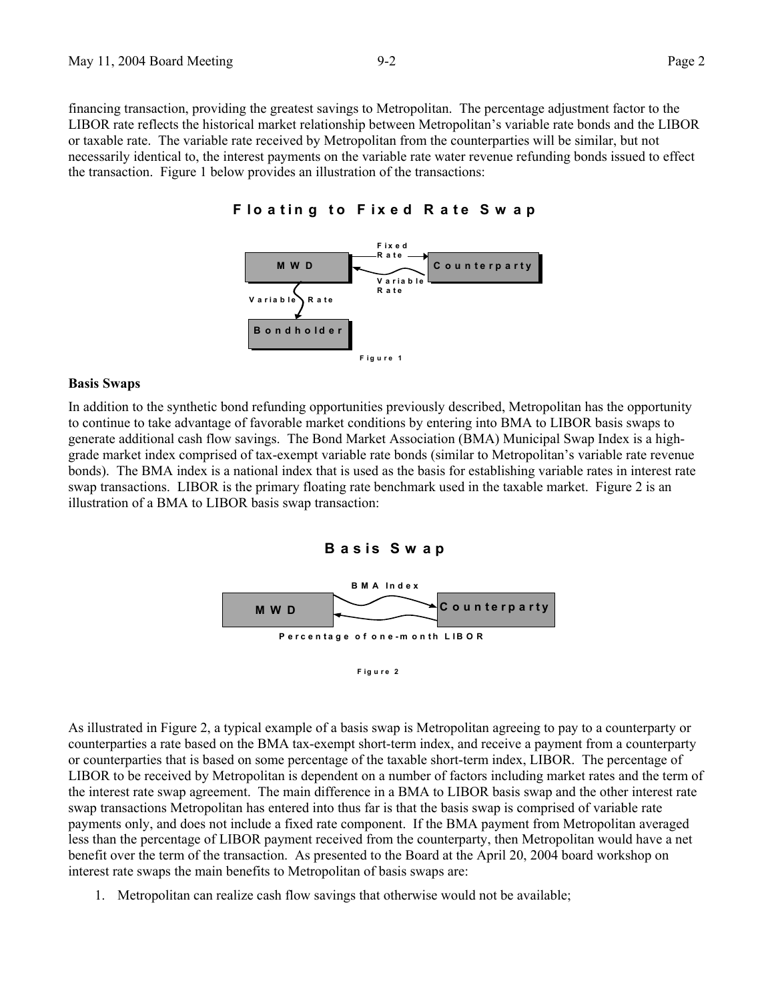financing transaction, providing the greatest savings to Metropolitan. The percentage adjustment factor to the LIBOR rate reflects the historical market relationship between Metropolitan's variable rate bonds and the LIBOR or taxable rate. The variable rate received by Metropolitan from the counterparties will be similar, but not necessarily identical to, the interest payments on the variable rate water revenue refunding bonds issued to effect the transaction. Figure 1 below provides an illustration of the transactions:





#### **F ig u re 1**

#### **Basis Swaps**

In addition to the synthetic bond refunding opportunities previously described, Metropolitan has the opportunity to continue to take advantage of favorable market conditions by entering into BMA to LIBOR basis swaps to generate additional cash flow savings. The Bond Market Association (BMA) Municipal Swap Index is a highgrade market index comprised of tax-exempt variable rate bonds (similar to Metropolitan's variable rate revenue bonds). The BMA index is a national index that is used as the basis for establishing variable rates in interest rate swap transactions. LIBOR is the primary floating rate benchmark used in the taxable market. Figure 2 is an illustration of a BMA to LIBOR basis swap transaction:

**B a s is S w a p**



As illustrated in Figure 2, a typical example of a basis swap is Metropolitan agreeing to pay to a counterparty or counterparties a rate based on the BMA tax-exempt short-term index, and receive a payment from a counterparty or counterparties that is based on some percentage of the taxable short-term index, LIBOR. The percentage of LIBOR to be received by Metropolitan is dependent on a number of factors including market rates and the term of the interest rate swap agreement. The main difference in a BMA to LIBOR basis swap and the other interest rate swap transactions Metropolitan has entered into thus far is that the basis swap is comprised of variable rate payments only, and does not include a fixed rate component. If the BMA payment from Metropolitan averaged less than the percentage of LIBOR payment received from the counterparty, then Metropolitan would have a net benefit over the term of the transaction. As presented to the Board at the April 20, 2004 board workshop on interest rate swaps the main benefits to Metropolitan of basis swaps are:

1. Metropolitan can realize cash flow savings that otherwise would not be available;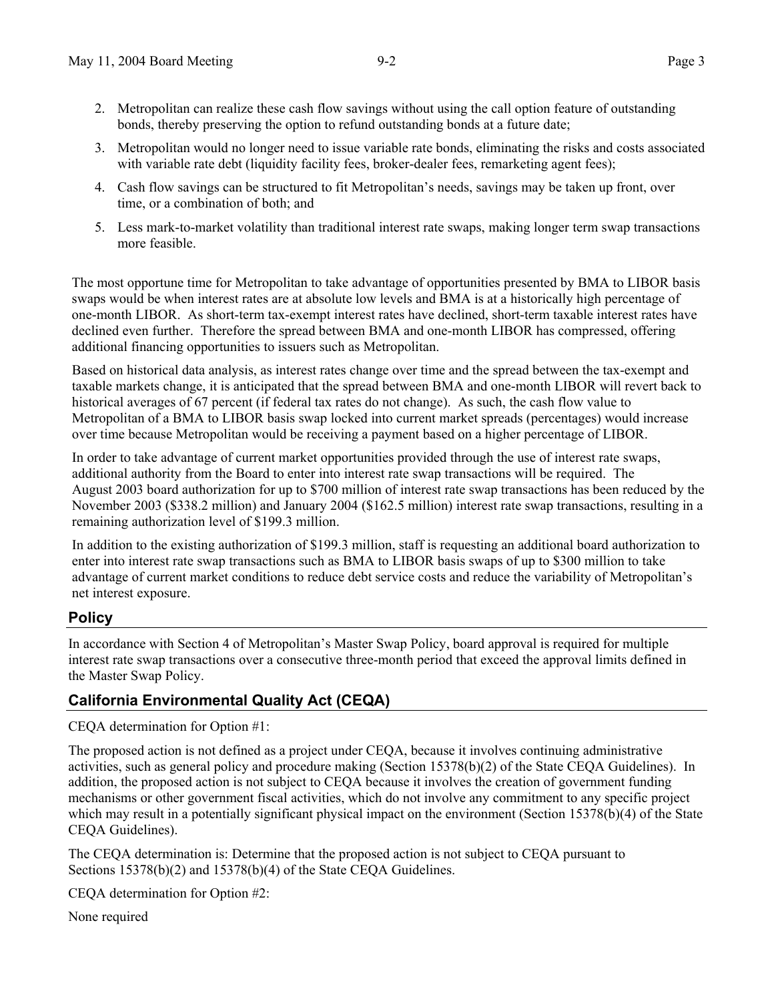- 2. Metropolitan can realize these cash flow savings without using the call option feature of outstanding bonds, thereby preserving the option to refund outstanding bonds at a future date;
- 3. Metropolitan would no longer need to issue variable rate bonds, eliminating the risks and costs associated with variable rate debt (liquidity facility fees, broker-dealer fees, remarketing agent fees);
- 4. Cash flow savings can be structured to fit Metropolitan's needs, savings may be taken up front, over time, or a combination of both; and
- 5. Less mark-to-market volatility than traditional interest rate swaps, making longer term swap transactions more feasible.

The most opportune time for Metropolitan to take advantage of opportunities presented by BMA to LIBOR basis swaps would be when interest rates are at absolute low levels and BMA is at a historically high percentage of one-month LIBOR. As short-term tax-exempt interest rates have declined, short-term taxable interest rates have declined even further. Therefore the spread between BMA and one-month LIBOR has compressed, offering additional financing opportunities to issuers such as Metropolitan.

Based on historical data analysis, as interest rates change over time and the spread between the tax-exempt and taxable markets change, it is anticipated that the spread between BMA and one-month LIBOR will revert back to historical averages of 67 percent (if federal tax rates do not change). As such, the cash flow value to Metropolitan of a BMA to LIBOR basis swap locked into current market spreads (percentages) would increase over time because Metropolitan would be receiving a payment based on a higher percentage of LIBOR.

In order to take advantage of current market opportunities provided through the use of interest rate swaps, additional authority from the Board to enter into interest rate swap transactions will be required. The August 2003 board authorization for up to \$700 million of interest rate swap transactions has been reduced by the November 2003 (\$338.2 million) and January 2004 (\$162.5 million) interest rate swap transactions, resulting in a remaining authorization level of \$199.3 million.

In addition to the existing authorization of \$199.3 million, staff is requesting an additional board authorization to enter into interest rate swap transactions such as BMA to LIBOR basis swaps of up to \$300 million to take advantage of current market conditions to reduce debt service costs and reduce the variability of Metropolitan's net interest exposure.

# **Policy**

In accordance with Section 4 of Metropolitan's Master Swap Policy, board approval is required for multiple interest rate swap transactions over a consecutive three-month period that exceed the approval limits defined in the Master Swap Policy.

# **California Environmental Quality Act (CEQA)**

CEQA determination for Option #1:

The proposed action is not defined as a project under CEQA, because it involves continuing administrative activities, such as general policy and procedure making (Section 15378(b)(2) of the State CEQA Guidelines). In addition, the proposed action is not subject to CEQA because it involves the creation of government funding mechanisms or other government fiscal activities, which do not involve any commitment to any specific project which may result in a potentially significant physical impact on the environment (Section 15378(b)(4) of the State CEQA Guidelines).

The CEQA determination is: Determine that the proposed action is not subject to CEQA pursuant to Sections 15378(b)(2) and 15378(b)(4) of the State CEQA Guidelines.

CEQA determination for Option #2:

None required